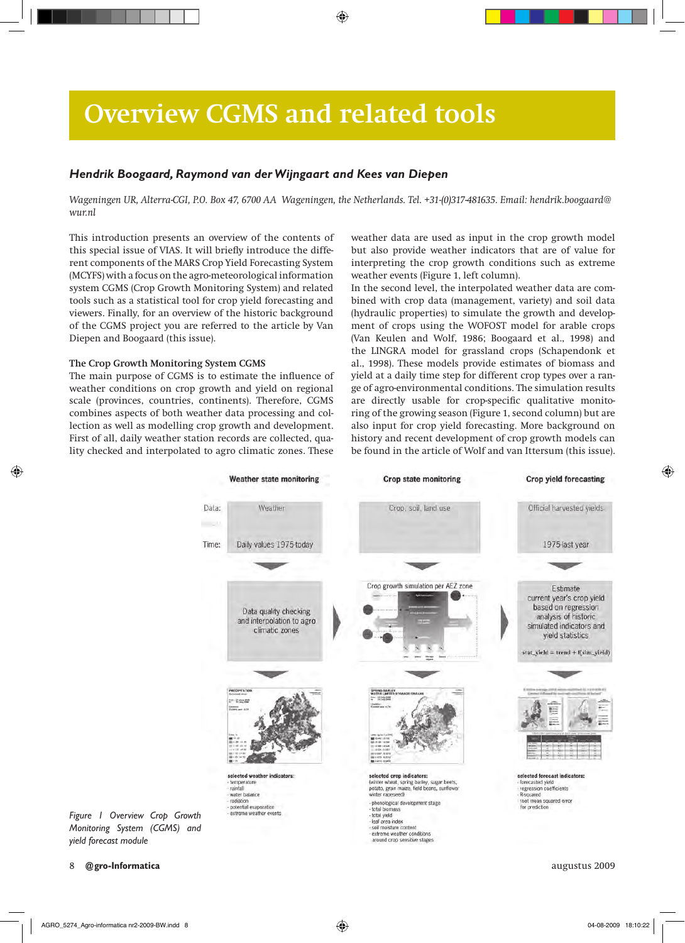# **Overview CGMS and related tools**

## *Hendrik Boogaard, Raymond van der Wijngaart and Kees van Diepen*

*Wageningen UR, Alterra-CGI, P.O. Box 47, 6700 AA Wageningen, the Netherlands. Tel. +31-(0)317-481635. Email: hendrik.boogaard@ wur.nl*

This introduction presents an overview of the contents of this special issue of VIAS. It will briefly introduce the different components of the MARS Crop Yield Forecasting System (MCYFS) with a focus on the agro-meteorological information system CGMS (Crop Growth Monitoring System) and related tools such as a statistical tool for crop yield forecasting and viewers. Finally, for an overview of the historic background of the CGMS project you are referred to the article by Van Diepen and Boogaard (this issue).

### **The Crop Growth Monitoring System CGMS**

The main purpose of CGMS is to estimate the influence of weather conditions on crop growth and yield on regional scale (provinces, countries, continents). Therefore, CGMS combines aspects of both weather data processing and collection as well as modelling crop growth and development. First of all, daily weather station records are collected, quality checked and interpolated to agro climatic zones. These weather data are used as input in the crop growth model but also provide weather indicators that are of value for interpreting the crop growth conditions such as extreme weather events (Figure 1, left column).

In the second level, the interpolated weather data are combined with crop data (management, variety) and soil data (hydraulic properties) to simulate the growth and development of crops using the WOFOST model for arable crops (Van Keulen and Wolf, 1986; Boogaard et al., 1998) and the LINGRA model for grassland crops (Schapendonk et al., 1998). These models provide estimates of biomass and yield at a daily time step for different crop types over a range of agro-environmental conditions. The simulation results are directly usable for crop-specific qualitative monitoring of the growing season (Figure 1, second column) but are also input for crop yield forecasting. More background on history and recent development of crop growth models can be found in the article of Wolf and van Ittersum (this issue).



*Figure 1 Overview Crop Growth Monitoring System (CGMS) and yield forecast module*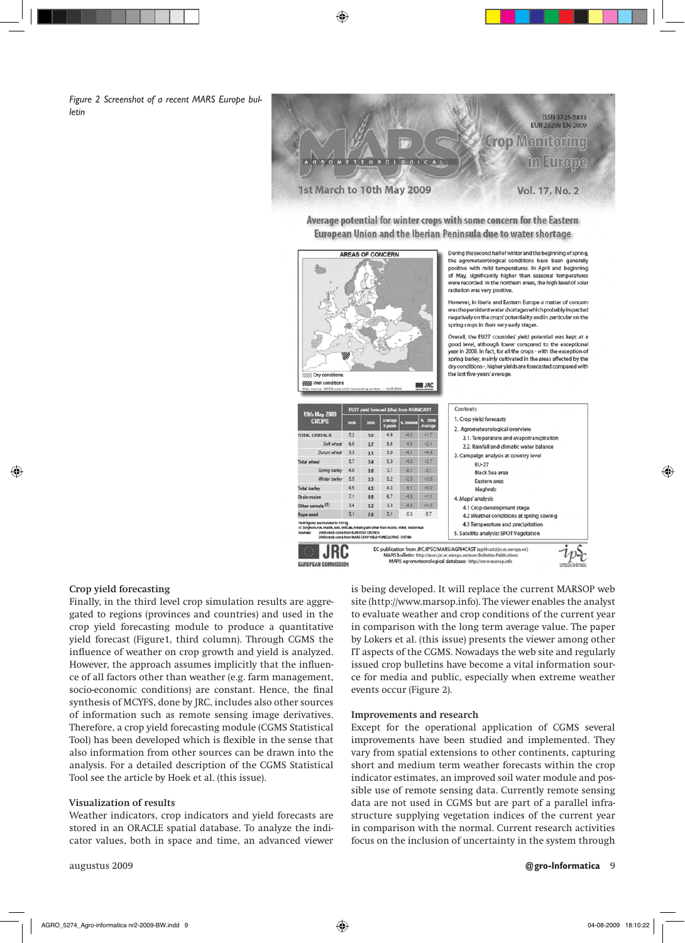*Figure 2 Screenshot of a recent MARS Europe bulletin*

**ISSN 1725-5813 EUR 23298 EN-2009 Crop Monitoring** in Europe ETEOROLOGICAL 1st March to 10th May 2009 **Vol. 17, No. 2** 

Average potential for winter crops with some concern for the Eastern European Union and the Iberian Peninsula due to water shortage



During the second half of winter and the beginning of spring. the agrometeorological conditions have been generally positive with mild temperatures. In April and beginning of May, significantly higher than seasonal temperatures were recorded. In the northern areas, the high level of solar radiation was very positive.

However, in Iberia and Eastern Europe a matter of concern was the persistent water shortages which probably impacted negatively on the crops' potentiality and in particular on the spring crops in their very early stages

Overall, the EU27 countries' yield potential was kept at a good level, although lower compared to the exceptional<br>year in 2008. In fact, for all the crops - with the exception of spring barley, mainly cultivated in the areas affected by the dry conditions -, higher yields are forecasted compared with the last five-years' average.

| 19th May 2009<br><b>CROPS</b>                                                                                                                                                                                                                     | EU27 yield forecast (t/ha) from AGRI4CAST |      |                    |           |                    | Contents                                                                    |
|---------------------------------------------------------------------------------------------------------------------------------------------------------------------------------------------------------------------------------------------------|-------------------------------------------|------|--------------------|-----------|--------------------|-----------------------------------------------------------------------------|
|                                                                                                                                                                                                                                                   | 2008                                      | 2009 | Average<br>5 years | % 2009/08 | % 2009/<br>Average | 1. Crop yield forecasts<br>2. Agrometeorological overview                   |
| <b>TOTAL CEREALS</b>                                                                                                                                                                                                                              | 5.2                                       | 5.0  | 4.9                | $-4.2$    | $+1.7$             | 2.1. Temperature and evapotranspiration                                     |
| Soft wheat                                                                                                                                                                                                                                        | 6.0                                       | 5.7  | 5.6                | $-4.5$    | $+2.1$             | 2.2. Rainfall and climatic water balance                                    |
| Durum wheat                                                                                                                                                                                                                                       | 3.3                                       | 3.1  | 3.0                | $-4.1$    | $+4.8$             | 3. Campaign analysis at country level                                       |
| <b>Total wheat</b>                                                                                                                                                                                                                                | 5.7                                       | 5.4  | 5.3                | $-4.6$    | $+2.7$             | EU-27                                                                       |
| Spring barley                                                                                                                                                                                                                                     | 4.0                                       | 3.6  | 3.7                | $-8.1$    | $-3.1$             | Black Sea area                                                              |
| Winter barley                                                                                                                                                                                                                                     | 5.5                                       | 5.3  | 5.2                | $-2.5$    | $+3.0$             | Eastern area                                                                |
| <b>Total barley</b>                                                                                                                                                                                                                               | 4.5                                       | 43   | 4.3                | $-5.1$    | $+0.0$             | Maghreb                                                                     |
| Grain maize                                                                                                                                                                                                                                       | 7.1                                       | 6.8  | 6.7                | $-4.6$    | $+1.1$             | 4. Maps' analysis                                                           |
| Other cereals (1)                                                                                                                                                                                                                                 | 3.4                                       | 32   | 3.3                | $-4.8$    | $+1.5$             | 4.1 Crop development stage                                                  |
| Rape seed                                                                                                                                                                                                                                         | 3.1                                       | 2.9  | 3.1                | $-5.3$    | $-5.7$             | 4.2 Weather conditions at spring sowing                                     |
| Yield figures are rounded to 100 kg<br>(1) Sorghum, rye, madin, oats, triticale, mbsd grain other than masiin, millet, budowheat<br>2008 yields come from BUROSTAT CRONOS<br>Sources:<br>2000 vialds come from MARS CROP VIBLO FORECASTING SYSTEM |                                           |      |                    |           |                    | 4.3 Temperature and precipitation<br>5. Satellite analysis: SPOT Vegetation |

### **Crop yield forecasting**

Finally, in the third level crop simulation results are aggregated to regions (provinces and countries) and used in the crop yield forecasting module to produce a quantitative yield forecast (Figure1, third column). Through CGMS the influence of weather on crop growth and yield is analyzed. However, the approach assumes implicitly that the influence of all factors other than weather (e.g. farm management, socio-economic conditions) are constant. Hence, the final synthesis of MCYFS, done by JRC, includes also other sources of information such as remote sensing image derivatives. Therefore, a crop yield forecasting module (CGMS Statistical Tool) has been developed which is flexible in the sense that also information from other sources can be drawn into the analysis. For a detailed description of the CGMS Statistical Tool see the article by Hoek et al. (this issue).

### **Visualization of results**

Weather indicators, crop indicators and yield forecasts are stored in an ORACLE spatial database. To analyze the indicator values, both in space and time, an advanced viewer is being developed. It will replace the current MARSOP web site (http://www.marsop.info). The viewer enables the analyst to evaluate weather and crop conditions of the current year in comparison with the long term average value. The paper by Lokers et al. (this issue) presents the viewer among other IT aspects of the CGMS. Nowadays the web site and regularly issued crop bulletins have become a vital information source for media and public, especially when extreme weather events occur (Figure 2).

#### **Improvements and research**

Except for the operational application of CGMS several improvements have been studied and implemented. They vary from spatial extensions to other continents, capturing short and medium term weather forecasts within the crop indicator estimates, an improved soil water module and possible use of remote sensing data. Currently remote sensing data are not used in CGMS but are part of a parallel infrastructure supplying vegetation indices of the current year in comparison with the normal. Current research activities focus on the inclusion of uncertainty in the system through